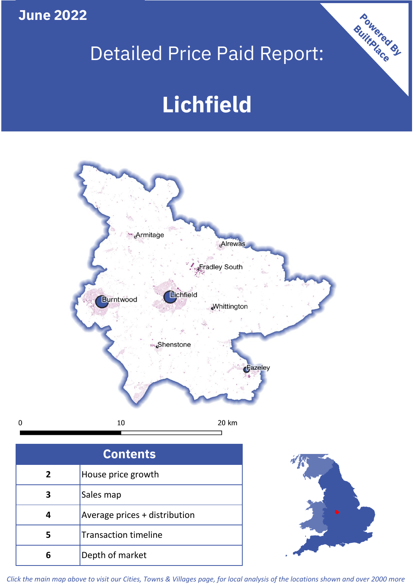**June 2022**

 $\mathbf 0$ 

# Detailed Price Paid Report:

# **Lichfield**



| <b>Contents</b> |                               |  |  |
|-----------------|-------------------------------|--|--|
| $\overline{2}$  | House price growth            |  |  |
| 3               | Sales map                     |  |  |
|                 | Average prices + distribution |  |  |
|                 | <b>Transaction timeline</b>   |  |  |
|                 | Depth of market               |  |  |



Powered By

*Click the main map above to visit our Cities, Towns & Villages page, for local analysis of the locations shown and over 2000 more*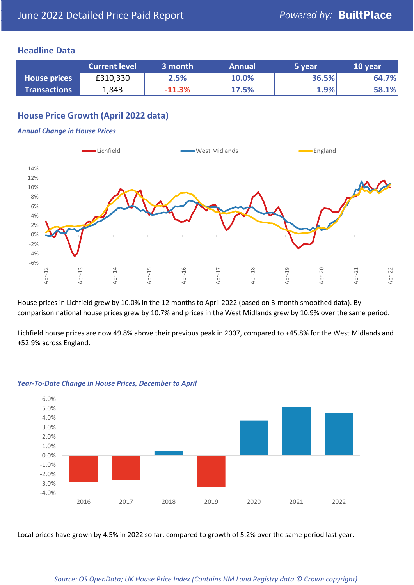### **Headline Data**

|                     | <b>Current level</b> | 3 month  | <b>Annual</b> | 5 year | 10 year |
|---------------------|----------------------|----------|---------------|--------|---------|
| <b>House prices</b> | £310,330             | 2.5%     | 10.0%         | 36.5%  | 64.7%   |
| <b>Transactions</b> | 1,843                | $-11.3%$ | 17.5%         | 1.9%   | 58.1%   |

## **House Price Growth (April 2022 data)**

#### *Annual Change in House Prices*



House prices in Lichfield grew by 10.0% in the 12 months to April 2022 (based on 3-month smoothed data). By comparison national house prices grew by 10.7% and prices in the West Midlands grew by 10.9% over the same period.

Lichfield house prices are now 49.8% above their previous peak in 2007, compared to +45.8% for the West Midlands and +52.9% across England.



#### *Year-To-Date Change in House Prices, December to April*

Local prices have grown by 4.5% in 2022 so far, compared to growth of 5.2% over the same period last year.

#### *Source: OS OpenData; UK House Price Index (Contains HM Land Registry data © Crown copyright)*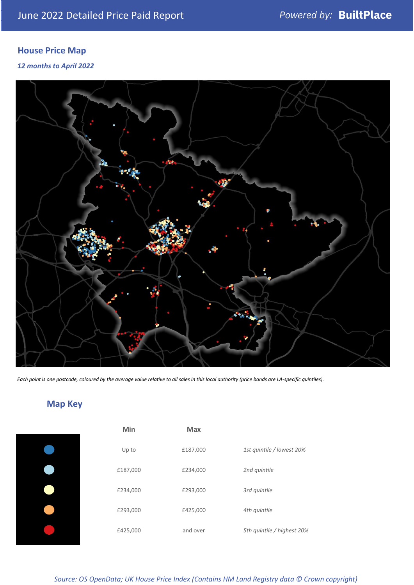# **House Price Map**

*12 months to April 2022*



*Each point is one postcode, coloured by the average value relative to all sales in this local authority (price bands are LA-specific quintiles).*

# **Map Key**

| Min      | <b>Max</b> |                            |
|----------|------------|----------------------------|
| Up to    | £187,000   | 1st quintile / lowest 20%  |
| £187,000 | £234,000   | 2nd quintile               |
| £234,000 | £293,000   | 3rd quintile               |
| £293,000 | £425,000   | 4th quintile               |
| £425,000 | and over   | 5th quintile / highest 20% |

*Source: OS OpenData; UK House Price Index (Contains HM Land Registry data © Crown copyright)*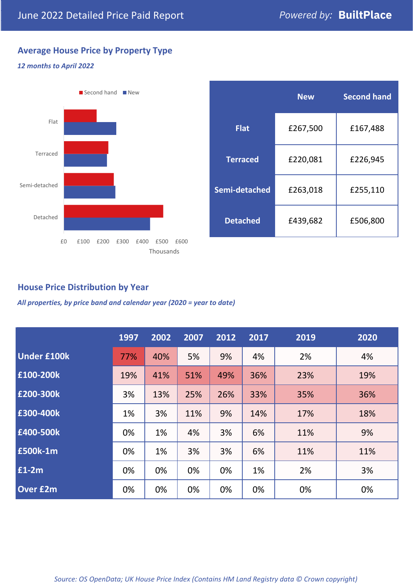# **Average House Price by Property Type**

#### *12 months to April 2022*



|                 | <b>New</b> | <b>Second hand</b> |  |  |
|-----------------|------------|--------------------|--|--|
| <b>Flat</b>     | £267,500   | £167,488           |  |  |
| <b>Terraced</b> | £220,081   | £226,945           |  |  |
| Semi-detached   | £263,018   | £255,110           |  |  |
| <b>Detached</b> | £439,682   | £506,800           |  |  |

## **House Price Distribution by Year**

*All properties, by price band and calendar year (2020 = year to date)*

|                    | 1997 | 2002 | 2007 | 2012 | 2017 | 2019 | 2020 |
|--------------------|------|------|------|------|------|------|------|
| <b>Under £100k</b> | 77%  | 40%  | 5%   | 9%   | 4%   | 2%   | 4%   |
| £100-200k          | 19%  | 41%  | 51%  | 49%  | 36%  | 23%  | 19%  |
| E200-300k          | 3%   | 13%  | 25%  | 26%  | 33%  | 35%  | 36%  |
| £300-400k          | 1%   | 3%   | 11%  | 9%   | 14%  | 17%  | 18%  |
| £400-500k          | 0%   | 1%   | 4%   | 3%   | 6%   | 11%  | 9%   |
| £500k-1m           | 0%   | 1%   | 3%   | 3%   | 6%   | 11%  | 11%  |
| £1-2m              | 0%   | 0%   | 0%   | 0%   | 1%   | 2%   | 3%   |
| <b>Over £2m</b>    | 0%   | 0%   | 0%   | 0%   | 0%   | 0%   | 0%   |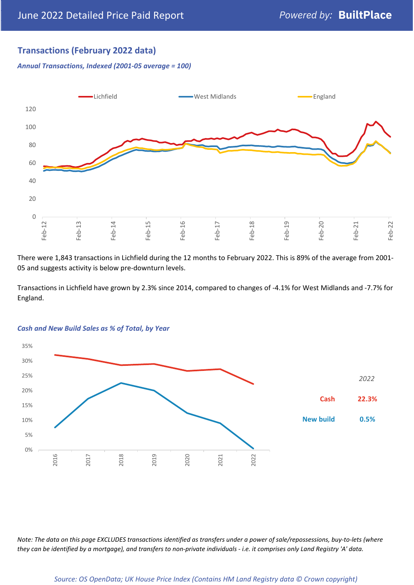## **Transactions (February 2022 data)**

*Annual Transactions, Indexed (2001-05 average = 100)*



There were 1,843 transactions in Lichfield during the 12 months to February 2022. This is 89% of the average from 2001- 05 and suggests activity is below pre-downturn levels.

Transactions in Lichfield have grown by 2.3% since 2014, compared to changes of -4.1% for West Midlands and -7.7% for England.



#### *Cash and New Build Sales as % of Total, by Year*

*Note: The data on this page EXCLUDES transactions identified as transfers under a power of sale/repossessions, buy-to-lets (where they can be identified by a mortgage), and transfers to non-private individuals - i.e. it comprises only Land Registry 'A' data.*